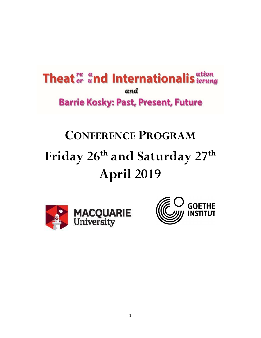# **Theat** <sup>re</sup> and Internationalis attion and **Barrie Kosky: Past, Present, Future**

# CONFERENCE PROGRAM Friday 26<sup>th</sup> and Saturday 27<sup>th</sup> April 2019



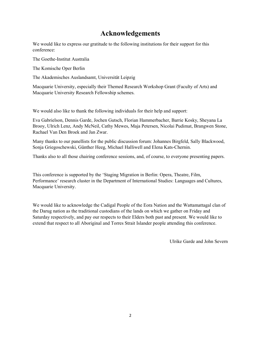## Acknowledgements

We would like to express our gratitude to the following institutions for their support for this conference:

The Goethe-Institut Australia

The Komische Oper Berlin

The Akademisches Auslandsamt, Universität Leipzig

Macquarie University, especially their Themed Research Workshop Grant (Faculty of Arts) and Macquarie University Research Fellowship schemes.

We would also like to thank the following individuals for their help and support:

Eva Gabrielson, Dennis Garde, Jochen Gutsch, Florian Hammerbacher, Barrie Kosky, Sheyana La Brooy, Ulrich Lenz, Andy McNeil, Cathy Mewes, Maja Petersen, Nicolai Pudimat, Brangwen Stone, Rachael Van Den Broek and Jan Zwar.

Many thanks to our panellists for the public discussion forum: Johannes Birgfeld, Sally Blackwood, Sonja Griegoschewski, Günther Heeg, Michael Halliwell and Elena Kats-Chernin.

Thanks also to all those chairing conference sessions, and, of course, to everyone presenting papers.

This conference is supported by the 'Staging Migration in Berlin: Opera, Theatre, Film, Performance' research cluster in the Department of International Studies: Languages and Cultures, Macquarie University.

We would like to acknowledge the Cadigal People of the Eora Nation and the Wattamattagal clan of the Darug nation as the traditional custodians of the lands on which we gather on Friday and Saturday respectively, and pay our respects to their Elders both past and present. We would like to extend that respect to all Aboriginal and Torres Strait Islander people attending this conference.

Ulrike Garde and John Severn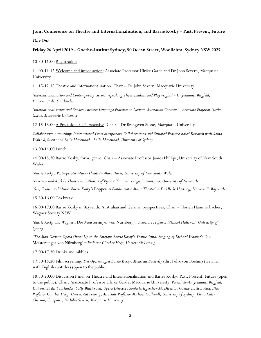#### Joint Conference on Theatre and Internationalisation, and Barrie Kosky – Past, Present, Future

Day One

Friday 26 April 2019 – Goethe-Institut Sydney, 90 Ocean Street, Woollahra, Sydney NSW 2025

10.30-11.00 Registration

11.00-11.15 Welcome and introduction: Associate Professor Ulrike Garde and Dr John Severn, Macquarie University

11.15-12.15 Theatre and Internationalisation: Chair – Dr John Severn, Macquarie University

'Internationalisation and Contemporary German-speaking Theatremakers and Playwrights' - Dr Johannes Birgfeld, Universität des Saarlandes

'Internationalisation and Spoken Theatre: Language Practices in German-Australian Contexts' - Associate Professor Ulrike Garde, Macquarie University

12.15-13.00 A Practitioner's Perspective: Chair – Dr Brangwen Stone, Macquarie University

Collaborative Auteurship: International Cross-disciplinary Collaborations and Situated Practice-based Research with Sasha Waltz & Guests and Sally Blackwood - Sally Blackwood, University of Sydney

13.00-14.00 Lunch

14.00-15.30 Barrie Kosky, form, genre: Chair – Associate Professor James Phillips, University of New South Wales

'Barrie Kosky's Post-operatic Music-Theatre'- Mara Davis, University of New South Wales

'Evreinov and Kosky's Theatre as Catharsis of Psychic Trauma' - Inga Romantsova, University of Newcastle

'Sex, Crime, and Music: Barrie Kosky's Poppea as Postdramatic Music Theatre' – Dr Ulrike Hartung, Universität Bayreuth

15.30-16.00 Tea break

16.00-17.00 Barrie Kosky in Bayreuth: Australian and German perspectives: Chair – Florian Hammerbacher, Wagner Society NSW

'Barrie Kosky and Wagner's Die Meistersinger von Nürnberg' - Associate Professor Michael Halliwell, University of Sydney

'The Most German Opera Opens Up to the Foreign: Barrie Kosky's Transcultural Staging of Richard Wagner's Die Meistersinger von Nürnberg' – Professor Günther Heeg, Universität Leipzig

17.00-17.30 Drinks and nibbles

17.30-18.20 Film screening: Der Opernmagier Barrie Kosky: Monsieur Butterfly (dir. Felix von Boehm) (German with English subtitles) (open to the public)

18.30-20.00 Discussion Panel on Theatre and Internationalisation and Barrie Kosky: Past, Present, Future (open to the public). Chair: Asssociate Professor Ulrike Garde, Macquarie University. Panellists–Dr Johannes Birgfeld, Universität des Saarlandes; Sally Blackwood, Opera Director; Sonja Griegoschewski, Director, Goethe-Institut Australia; Professor Günther Heeg, Universität Leipzig; Associate Professor Michael Halliwell, University of Sydney; Elena Kats-Chernin, Composer; Dr John Severn, Macquarie University.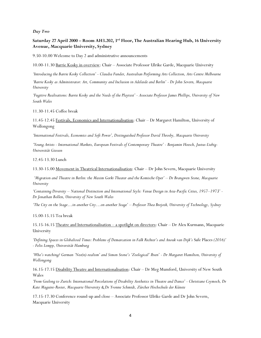#### Day Two

#### Saturday 27 April 2000 – Room AH3.202, 3rd Floor, The Australian Hearing Hub, 16 University Avenue, Macquarie University, Sydney

9.50-10.00 Welcome to Day 2 and administrative announcements

10.00-11.30 Barrie Kosky in overview: Chair – Associate Professor Ulrike Garde, Macquarie University

'Introducing the Barrie Kosky Collection' - Claudia Funder, Australian Performing Arts Collection, Arts Centre Melbourne

'Barrie Kosky as Administrator: Art, Community and Inclusion in Adelaide and Berlin' - Dr John Severn, Macquarie **University** 

'Fugitive Realisations: Barrie Kosky and the Needs of the Playtext' - Associate Professor James Phillips, University of New South Wales

11.30-11.45 Coffee break

11.45-12.45 Festivals, Economics and Internationalisation: Chair – Dr Margaret Hamilton, University of Wollongong

'International Festivals, Economics and Soft Power', Distinguished Professor David Throsby, Macquarie University

'Young Artists - International Markets, European Festivals of Contemporary Theatre' - Benjamin Hoesch, Justus-Liebig-Universität Giessen

12.45-13.30 Lunch

13.30-15.00 Movement in Theatrical Internationalisation: Chair - Dr John Severn, Macquarie University

 'Migration and Theatre in Berlin: the Maxim Gorki Theater and the Komische Oper' – Dr Brangwen Stone, Macquarie **University** 

'Containing Diversity – National Distinction and International Style: Venue Design in Asia-Pacific Cities, 1957–1973' - Dr Jonathan Bollen, University of New South Wales

'The City on the Stage...in another City...on another Stage' – Professor Thea Brejzek, University of Technology, Sydney

15.00-15.15 Tea break

15.15-16.15 Theatre and Internationalisation - a spotlight on directors: Chair - Dr Alex Kurmann, Macquarie University

'Defining Spaces in Globalized Times: Problems of Demarcation in Falk Richter's and Anouk van Dijk's Safe Places (2016)' - Felix Lempp, Universität Hamburg

'Who's watching? German 'Neo(n)-realism' and Simon Stone's 'Zoological' Ibsen' - Dr Margaret Hamilton, University of Wollongong

16.15-17.15 Disability Theatre and Internationalisation: Chair - Dr Meg Mumford, University of New South Wales

'From Geelong to Zurich: International Percolations of Disability Aesthetics in Theatre and Dance' - Christiane Czymoch, Dr Kate Maguire-Rosier, Macquarie University & Dr Yvonne Schmidt, Zürcher Hochschule der Künste

17.15-17.30 Conference round-up and close – Associate Professor Ulrike Garde and Dr John Severn, Macquarie University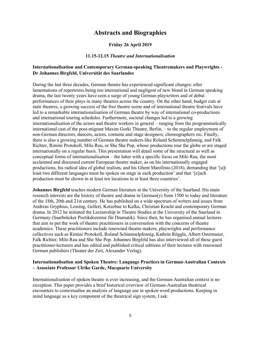### Abstracts and Biographies

#### Friday 26 April 2019

#### 11.15-12.15 Theatre and Internationalisation

#### Internationalisation and Contemporary German-speaking Theatremakers and Playwrights - Dr Johannes Birgfeld, Universität des Saarlandes

During the last three decades, German theatre has experienced significant changes: after lamentations of repertoires being too international and negligent of new blood in German speaking drama, the last twenty years have seen a surge of young German playwriters and of debut performances of their plays in many theatres across the country. On the other hand, budget cuts at state theatres, a growing success of the free theatre scene and of international theatre festivals have led to a remarkable internationalisation of German theatre by way of international co-productions and international touring schedules. Furthermore, societal changes led to a growing internationalisation of the actors and theatre workers in general – ranging from the programmatically international cast of the post-migrant Maxim Gorki Theatre, Berlin, – to the regular employment of non-German directors, dancers, actors, costume and stage designers, choreographers etc. Finally, there is also a growing number of German theatre makers like Roland Schimmelpfennig, and Falk Richter, Rimini Protokoll, Milo Rau, or She She Pop, whose productions tour the globe or are staged internationally on a regular basis. This presentation will detail some of the structural as well as conceptual forms of internationalisation – the latter with a specific focus on Milo Rau, the most acclaimed and discussed current European theatre maker, as on his internationally engaged productions, his radical idea of global realism, and his Ghent Manifesto (2018), demanding that '[a]t least two different languages must be spoken on stage in each production' and that '[e]ach production must be shown in at least ten locations in at least three countries'.

Johannes Birgfeld teaches modern German literature at the University of the Saarland. His main research interests are the history of theatre and drama in German(y) from 1500 to today and literature of the 18th, 20th and 21st century. He has published on a wide spectrum of writers and issues from Andreas Gryphius, Lessing, Gellert, Kotzebue to Kafka, Christian Kracht and contemporary German drama. In 2012 he initiated the Lectureship in Theatre Studies at the University of the Saarland in Germany (Saarbrücker Poetikdozentur für Dramatik). Since then, he has organised annual lectures that aim to put the work of theatre practitioners in conversation with the concerns of theatre academics. These practitioners include renowned theatre makers, playwrights and performance collectives such as Rimini Protokoll, Roland Schimmelpfennig, Kathrin Röggla, Albert Ostermaier, Falk Richter, Milo Rau and She She Pop. Johannes Birgfeld has also interviewed all of these guest practitioner-lecturers and has edited and published critical editions of their lectures with renowned German publishers (Theater der Zeit, Alexander Verlag).

#### Internationalisation and Spoken Theatre: Language Practices in German-Australian Contexts – Associate Professor Ulrike Garde, Macquarie University

Internationalisation of spoken theatre is ever increasing, and the German-Australian context is no exception. This paper provides a brief historical overview of German-Australian theatrical encounters to contextualise an analysis of language use in spoken word productions. Keeping in mind language as a key component of the theatrical sign system, I ask: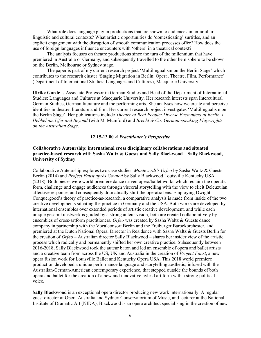What role does language play in productions that are shown to audiences in unfamiliar linguistic and cultural contexts? What artistic opportunities do 'domesticating' surtitles, and an explicit engagement with the disruption of smooth communication processes offer? How does the use of foreign languages influence encounters with 'others' in a theatrical context?

The analysis focuses on theatre productions since the turn of the millennium that have premiered in Australia or Germany, and subsequently travelled to the other hemisphere to be shown on the Berlin, Melbourne or Sydney stage.

The paper is part of my current research project 'Multilingualism on the Berlin Stage' which contributes to the research cluster 'Staging Migration in Berlin: Opera, Theatre, Film, Performance' (Department of International Studies: Languages and Cultures), Macquarie University.

Ulrike Garde is Associate Professor in German Studies and Head of the Department of International Studies: Languages and Cultures at Macquarie University. Her research interests span Intercultural German Studies, German literature and the performing arts. She analyses how we create and perceive identities in theatre, literature and film. Her current research project investigates 'Multilingualism on the Berlin Stage'. Her publications include Theatre of Real People: Diverse Encounters at Berlin's Hebbel am Ufer and Beyond (with M. Mumford) and Brecht & Co: German-speaking Playwrights on the Australian Stage.

#### 12.15-13.00 A Practitioner's Perspective

#### Collaborative Auteurship: international cross disciplinary collaborations and situated practice-based research with Sasha Waltz & Guests and Sally Blackwood – Sally Blackwood, University of Sydney

Collaborative Auteurship explores two case studies: Monteverdi's Orfeo by Sasha Waltz & Guests Berlin (2014) and Project Faust après Gounod by Sally Blackwood Louisville Kentucky USA (2018). Both pieces were world première dance driven opera/ballet works which reclaim the operatic form, challenge and engage audiences through visceral storytelling with the view to elicit Deleuzuian affective response, and consequently dramatically shift the operatic lens. Employing Dwight Conquergood's theory of practice-as-research, a comparative analysis is made from inside of the two creative developments situating the practice in Germany and the USA. Both works are developed by international ensembles over extended periods of artistic creative development, and while each unique gesamtkunstwerk is guided by a strong auteur vision, both are created collaboratively by ensembles of cross-artform practitioners. Orfeo was created by Sasha Waltz & Guests dance company in partnership with the Vocalconsort Berlin and the Freiburger Barockorchester, and premiered at the Dutch National Opera. Director in Residence with Sasha Waltz & Guests Berlin for the creation of Orfeo – Australian director Sally Blackwood – shares her insider view of the artistic process which radically and permanently shifted her own creative practice. Subsequently between 2016-2018, Sally Blackwood took the auteur baton and led an ensemble of opera and ballet artists and a creative team from across the US, UK and Australia in the creation of Project Faust, a new opera fusion work for Louisville Ballet and Kentucky Opera USA. This 2018 world premiere production developed a unique performance language and storytelling aesthetic, infused with the Australian-German-American contemporary experience, that stepped outside the bounds of both opera and ballet for the creation of a new and innovative hybrid art form with a strong political voice.

Sally Blackwood is an exceptional opera director producing new work internationally. A regular guest director at Opera Australia and Sydney Conservatorium of Music, and lecturer at the National Institute of Dramatic Art (NIDA), Blackwood is an opera architect specialising in the creation of new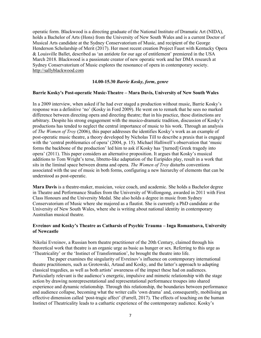operatic form. Blackwood is a directing graduate of the National Institute of Dramatic Art (NIDA), holds a Bachelor of Arts (Hons) from the University of New South Wales and is a current Doctor of Musical Arts candidate at the Sydney Conservatorium of Music, and recipient of the George Henderson Scholarship of Merit (2017). Her most recent creation Project Faust with Kentucky Opera & Louisville Ballet, described as 'an antidote for our age of entitlement' premiered in the USA March 2018. Blackwood is a passionate creator of new operatic work and her DMA research at Sydney Conservatorium of Music explores the resonance of opera in contemporary society. http://sallyblackwood.com

#### 14.00-15.30 Barrie Kosky, form, genre

#### Barrie Kosky's Post-operatic Music-Theatre – Mara Davis, University of New South Wales

In a 2009 interview, when asked if he had ever staged a production without music, Barrie Kosky's response was a definitive 'no' (Kosky in Ford 2009). He went on to remark that he sees no marked difference between directing opera and directing theatre; that in his practice, these distinctions are arbitrary. Despite his strong engagement with the musico-dramatic tradition, discussion of Kosky's productions has tended to neglect the central importance of music to his work. Through an analysis of The Women of Troy (2006), this paper addresses the identifies Kosky's work as an example of post-operatic music theatre, a theory developed by Nicholas Till to describe a praxis that is engaged with the 'central problematics of opera' (2004, p. 15). Michael Halliwell's observation that 'music forms the backbone of the production' led him to ask if Kosky has '[turned] Greek tragedy into opera' (2011). This paper considers an alternative proposition. It argues that Kosky's musical additions to Tom Wright's terse, libretto-like adaptation of the Euripides play, result in a work that sits in the liminal space between drama and opera. The Women of Troy disturbs conventions associated with the use of music in both forms, configuring a new hierarchy of elements that can be understood as post-operatic.

Mara Davis is a theatre-maker, musician, voice coach, and academic. She holds a Bachelor degree in Theatre and Performance Studies from the University of Wollongong, awarded in 2011 with First Class Honours and the University Medal. She also holds a degree in music from Sydney Conservatorium of Music where she majored as a flautist. She is currently a PhD candidate at the University of New South Wales, where she is writing about national identity in contemporary Australian musical theatre.

#### Evreinov and Kosky's Theatre as Catharsis of Psychic Trauma – Inga Romantsova, University of Newcastle

Nikolai Evreinov, a Russian born theatre practitioner of the 20th Century, claimed through his theoretical work that theatre is an organic urge as basic as hunger or sex. Referring to this urge as 'Theatricality' or the 'Instinct of Transformation', he brought the theatre into life.

The paper examines the singularity of Evreinov's influence on contemporary international theatre practitioners, such as Grotowski, Artaud and Kosky, and the latter's approach to adapting classical tragedies, as well as both artists' awareness of the impact these had on audiences. Particularly relevant is the audience's energetic, impulsive and mimetic relationship with the stage action by drawing nonrepresentational and representational performance troupes into shared experience and dynamic relationship. Through this relationship, the boundaries between performance and audience collapse, becoming what the writer calls 'own drama' and, consequently, mobilising an effective dimension called 'post-tragic affect' (Farrell, 2017). The effects of touching on the human Instinct of Theatricality leads to a cathartic experience of the contemporary audience. Kosky's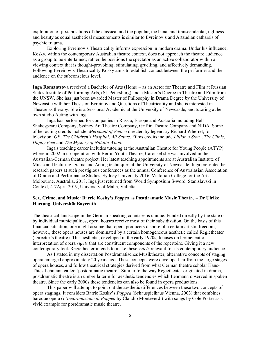exploration of juxtapositions of the classical and the popular, the banal and transcendental, ugliness and beauty as equal aesthetical measurements is similar to Evreinov's and Artaudian catharsis of psychic trauma.

Exploring Evreinov's Theatricality informs expression in modern drama. Under his influence, Kosky, within the contemporary Australian theatre context, does not approach the theatre audience as a group to be entertained; rather, he positions the spectator as an active collaborator within a viewing context that is thought-provoking, stimulating, gruelling, and affectively demanding. Following Evreinov's Theatricality Kosky aims to establish contact between the performer and the audience on the subconscious level.

Inga Romantsova received a Bachelor of Arts (Hons) – as an Actor for Theatre and Film at Russian States Institute of Performing Arts, (St. Petersburg) and a Master's Degree in Theatre and Film from the UNSW. She has just been awarded Master of Philosophy in Drama Degree by the University of Newcastle with her Thesis on Evreinov and Questions of Theatricality and she is interested in Theatre as therapy. She is a Sessional Academic at the University of Newcastle, and tutoring at her own studio Acting with Inga.

Inga has performed for companies in Russia, Europe and Australia including Bell Shakespeare Company, Sydney Art Theatre Company, Griffin Theatre Company and NIDA. Some of her acting credits include: Merchant of Venice directed by legendary Richard Wherret, for television: GP, The Children's Hospital, All Saints. Films credits include Lillian's Story, The Clinic, Happy Feet and The Mystery of Natalie Wood.

Inga's teaching career includes tutoring at the Australian Theatre for Young People (ATYP) where in 2002 in co-operation with Berlin Youth Theatre, Carousel she was involved in the Australian-German theatre project. Her latest teaching appointments are at Australian Institute of Music and lecturing Drama and Acting techniques at the University of Newcastle. Inga presented her research papers at such prestigious conferences as the annual Conference of Australasian Association of Drama and Performance Studies, Sydney University 2016, Victorian College for the Arts Melbourne, Australia, 2018. Inga just returned from World Symposium S-word, Stanislavski in Context, 4-7April 2019, University of Malta, Valletta.

#### Sex, Crime, and Music: Barrie Kosky's Poppea as Postdramatic Music Theatre – Dr Ulrike Hartung, Universität Bayreuth

The theatrical landscape in the German-speaking countries is unique. Funded directly by the state or by individual municipalities, opera houses receive most of their subsidization. On the basis of this financial situation, one might assume that opera producers dispose of a certain artistic freedom, however, these opera houses are dominated by a certain homogeneous aesthetic called Regietheater (Director's theatre). This aesthetic, developed in the early 1970s, focuses on hermeneutic interpretation of opera sujets that are constituent components of the repertoire. Giving it a new contemporary look Regietheater intends to make these sujets relevant for its contemporary audience.

As I stated in my dissertation Postdramatisches Musiktheater, alternative concepts of staging opera emerged approximately 20 years ago. These concepts were developed far from the large stages of opera houses, and follow theatrical strategies derived from what German theatre scholar Hans-Thies Lehmann called 'postdramatic theatre'. Similar to the way Regietheater originated in drama, postdramatic theatre is an umbrella term for aesthetic tendencies which Lehmann observed in spoken theatre. Since the early 2000s these tendencies can also be found in opera productions.

This paper will attempt to point out the aesthetic differences between these two concepts of opera stagings. It considers Barrie Kosky's Poppea (Schauspielhaus Vienna, 2003) that combines baroque opera (L'incoronazione di Poppea by Claudio Monteverdi) with songs by Cole Porter as a vivid example for postdramatic music theatre.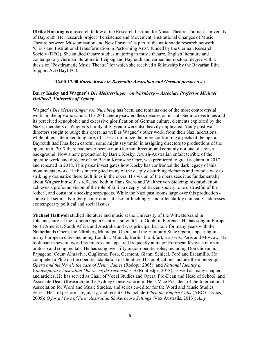Ulrike Hartung is a research fellow at the Research Institute for Music Theatre Thurnau, University of Bayreuth. Her research project 'Persistence and Movement: Institutional Changes of Music Theatre between Museumisation and New Formats' is part of the nationwide research network 'Crisis and Institutional Transformation in Performing Arts', funded by the German Research Society (DFG). She studied theatre studies majoring in music theatre, English literature and contemporary German literature in Leipzig and Bayreuth and earned her doctoral degree with a thesis on 'Postdramatic Music Theatre' for which she received a fellowship by the Bavarian Elite Support Act (BayEFG).

#### 16.00-17.00 Barrie Kosky in Bayreuth: Australian and German perspectives

#### Barry Kosky and Wagner's Die Meistersinger von Nürnberg – Associate Professor Michael Halliwell, University of Sydney

Wagner's Die Meistersinger von Nürnberg has been, and remains one of the most controversial works in the operatic canon. The 20th century saw endless debates on its anti-Semitic overtones and its perceived xenophobic and excessive glorification of German culture, elements exploited by the Nazis; members of Wagner's family at Bayreuth were also heavily implicated. Many post-war directors sought to purge this opera, as well as Wagner's other work, from their Nazi accretions, while others attempted to ignore, of at least minimize the more confronting aspects of the opera. Bayreuth itself has been careful, some might say timid, in assigning directors to productions of the opera; until 2017 there had never been a non-German director, and certainly not one of Jewish background. Now a new production by Barrie Kosky, Jewish-Australian enfant terrible of the operatic world and director of the Berlin Komische Oper, was premiered to great acclaim in 2017 and repeated in 2018. This paper investigates how Kosky has confronted the dark legacy of this monumental work. He has interrogated many of the deeply disturbing elements and found a way to strikingly dramatize these fault lines in the opera. His vision of the opera sees it as fundamentally about Wagner himself as reflected both in Hans Sachs and Walther von Stolzing; his production achieves a profound vision of the role of art in a deeply politicized society; one distrustful of the 'other', and constantly seeking scapegoats. While the Nazi past looms large over this production some of it set in a Nürnberg courtroom - it also unflinchingly, and often darkly comically, addresses contemporary political and social issues.

Michael Halliwell studied literature and music at the University of the Witwatersrand in Johannesburg, at the London Opera Centre, and with Tito Gobbi in Florence. He has sung in Europe, North America, South Africa and Australia and was principal baritone for many years with the Netherlands Opera, the Nürnberg Municipal Opera, and the Hamburg State Opera, appearing in many European cities including London, Munich, Berlin, Frankfurt, Brussels, Paris and Moscow. He took part in several world premieres and appeared frequently at major European festivals in opera, oratorio and song recitals. He has sung over fifty major operatic roles, including Don Giovanni, Papageno, Count Almaviva, Gugliemo, Posa, Germont, Gianni Schicci, Ford and Escamillo. He completed a PhD on the operatic adaptation of literature. His publications include the monographs, Opera and the Novel; the case of Henry James (Rodopi: 2005); and National Identity in Contemporary Australian Opera: myths reconsidered (Routledge, 2018), as well as many chapters and articles. He has served as Chair of Vocal Studies and Opera, Pro-Dean and Head of School, and Associate Dean (Research) at the Sydney Conservatorium. He is Vice President of the International Association for Word and Music Studies, and series co-editor for the Word and Music Studies Series. He still performs regularly, and recent CDs include When the Empire Calls (ABC Classics, 2005); O for a Muse of Fire: Australian Shakespeare Settings (Vox Australis, 2013); Amy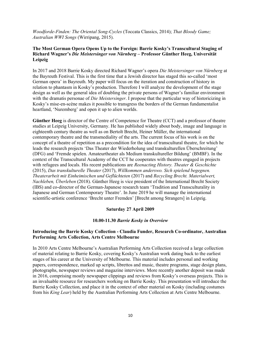Woodforde-Finden: The Oriental Song-Cycles (Toccata Classics, 2014); That Bloody Game; Australian WWI Songs (Wirripang, 2015).

#### The Most German Opera Opens Up to the Foreign: Barrie Kosky's Transcultural Staging of Richard Wagner's Die Meistersinger von Nürnberg – Professor Günther Heeg, Universität Leipzig

In 2017 and 2018 Barrie Kosky directed Richard Wagner's opera Die Meistersinger von Nürnberg at the Bayreuth Festival. This is the first time that a Jewish director has staged this so-called 'most German opera' in Bayreuth. My paper will focus on the iteration and construction of history in relation to phantasm in Kosky's production. Therefore I will analyze the development of the stage design as well as the general idea of doubling the private persons of Wagner's familiar environment with the dramatis personae of *Die Meistersinger*. I propose that the particular way of historicizing in Kosky's mise-en-scène makes it possible to transgress the borders of the German fundamentalist heartland, 'Nuremberg' and open it up to alien worlds.

Günther Heeg is director of the Centre of Competence for Theatre (CCT) and a professor of theatre studies at Leipzig University, Germany. He has published widely about body, image and language in eighteenth century theatre as well as on Bertolt Brecht, Heiner Müller, the international contemporary theatre and the transmediality of the arts. The current focus of his work is on the concept of a theatre of repetition as a precondition for the idea of transcultural theatre, for which he leads the research projects 'Das Theater der Wiederholung und transkulturellen Überschreitung' (DFG) and 'Fremde spielen. Amateurtheater als Medium transkultureller Bildung' (BMBF). In the context of the Transcultural Academy of the CCT he cooperates with theatres engaged in projects with refugees and locals. His recent publications are *Reenacting History*. Theater  $\&$  Geschichte (2015), Das transkulturelle Theater (2017), Willkommen anderswo. Sich spielend begegnen. Theaterarbeit mit Einheimischen und Geflüchteten (2017) and Recycling Brecht. Materialwert, Nachleben, Überleben (2018). Günther Heeg is vice president of the International Brecht Society (IBS) and co-director of the German-Japanese research team 'Tradition and Transculturality in Japanese and German Contemporary Theatre'. In June 2019 he will manage the international scientific-artistic conference 'Brecht unter Fremden' [Brecht among Strangers] in Leipzig.

#### Saturday 27 April 2009

#### 10.00-11.30 Barrie Kosky in Overview

#### Introducing the Barrie Kosky Collection - Claudia Funder, Research Co-ordinator, Australian Performing Arts Collection, Arts Centre Melbourne

In 2010 Arts Centre Melbourne's Australian Performing Arts Collection received a large collection of material relating to Barrie Kosky, covering Kosky's Australian work dating back to the earliest stages of his career at the University of Melbourne. This material includes personal and working papers, correspondence, marked up scripts, librettos and music, theatre programs, stage design plans, photographs, newspaper reviews and magazine interviews. More recently another deposit was made in 2016, comprising mostly newspaper clippings and reviews from Kosky's overseas projects. This is an invaluable resource for researchers working on Barrie Kosky. This presentation will introduce the Barrie Kosky Collection, and place it in the context of other material on Kosky (including costumes from his King Lear) held by the Australian Performing Arts Collection at Arts Centre Melbourne.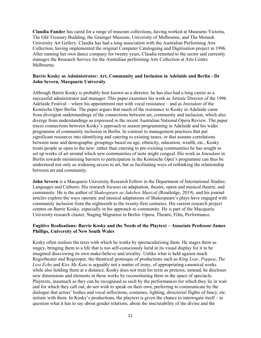Claudia Funder has cared for a range of museum collections, having worked at Museums Victoria, The Old Treasury Building, the Grainger Museum, University of Melbourne, and The Monash University Art Gallery. Claudia has had a long association with the Australian Performing Arts Collection, having implemented the original Computer Cataloguing and Digitisation project in 1996. After running her own dance company for twenty years, Claudia returned to the sector and currently manages the Research Service for the Australian performing Arts Collection at Arts Centre Melbourne.

#### Barrie Kosky as Administrator: Art, Community and Inclusion in Adelaide and Berlin - Dr John Severn, Macquarie University

Although Barrie Kosky is probably best known as a director, he has also had a long career as a successful administrator and manager. This paper examines his work as Artistic Director of the 1996 Adelaide Festival – where his appointment met with vocal resistance – and as Intendant of the Komische Oper Berlin. The paper argues that much of the resistance to Kosky in Adelaide came from divergent understandings of the connections between art, community and inclusion, which also diverge from understandings as expressed in the recent Australian National Opera Review. The paper traces connections between Kosky's approach to season programming in Adelaide and his wider programme of community inclusion in Berlin. In contrast to management practices that put significant resources into identifying and catering to existing tastes, or that assume correlations between taste and demographic groupings based on age, ethnicity, education, wealth, etc., Kosky treats people as open to the new: rather than catering to pre-existing communities he has sought to set up works of art around which new communities of taste might congeal. His work as Intendant in Berlin towards minimising barriers to participation in the Komische Oper's programme can thus be understood not only as widening access to art, but as facilitating ways of rethinking the relationship between art and community.

John Severn is a Macquarie University Research Fellow in the Department of International Studies: Languages and Cultures. His research focuses on adaptation, theatre, opera and musical theatre, and community. He is the author of Shakespeare as Jukebox Musical (Routledge, 2019), and his journal articles explore the ways operatic and musical adaptations of Shakespeare's plays have engaged with community inclusion from the eighteenth to the twenty-first centuries. His current research project centres on Barrie Kosky, especially in his approach to community. He is part of the Macquarie University research cluster, Staging Migration in Berlin: Opera, Theatre, Film, Performance.

#### Fugitive Realisations: Barrie Kosky and the Needs of the Playtext – Associate Professor James Phillips, University of New South Wales

Kosky often realises the texts with which he works by spectacularising them. He stages them as stagey, bringing them to a life that is too self-consciously lurid in its visual display for it to be imagined disavowing its own make-believe and irreality. Unlike what is held against much Regietheater and Regieoper, the theatrical grotesque of productions such as King Lear, Poppea, The Lost Echo and Kiss Me Kate is arguably not a matter of irony, of appropriating canonical works while also holding them at a distance. Kosky does not treat his texts as pretexts; instead, he discloses new dimensions and elements in these works by reconstituting them in the space of spectacle. Playtexts, inasmuch as they can be recognised as such by the performances for which they lie in wait and for which they call out, do not wish to speak on their own, preferring to communicate by the dialogue that actors' bodies and vocal inflections, costumes, lighting, directorial flights of fancy, etc. initiate with them. In Kosky's productions, the playtext is given the chance to interrogate itself – to question what it has to say about gender relations, about the inscrutability of the divine and the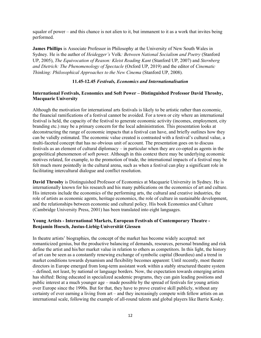squalor of power – and this chance is not alien to it, but immanent to it as a work that invites being performed.

James Phillips is Associate Professor in Philosophy at the University of New South Wales in Sydney. He is the author of Heidegger's Volk: Between National Socialism and Poetry (Stanford UP, 2005), The Equivocation of Reason: Kleist Reading Kant (Stanford UP, 2007) and Sternberg and Dietrich: The Phenomenology of Spectacle (Oxford UP, 2019) and the editor of Cinematic Thinking: Philosophical Approaches to the New Cinema (Stanford UP, 2008).

#### 11.45-12.45 Festivals, Economics and Internationalisation

#### International Festivals, Economics and Soft Power – Distinguished Professor David Throsby, Macquarie University

Although the motivation for international arts festivals is likely to be artistic rather than economic, the financial ramifications of a festival cannot be avoided. For a town or city where an international festival is held, the capacity of the festival to generate economic activity (incomes, employment, city branding etc.) may be a primary concern for the local administration. This presentation looks at deconstructing the range of economic impacts that a festival can have, and briefly outlines how they can be validly estimated. The economic value created is contrasted with a festival's cultural value, a multi-faceted concept that has no obvious unit of account. The presentation goes on to discuss festivals as an element of cultural diplomacy – in particular when they are co-opted as agents in the geopolitical phenomenon of soft power. Although in this context there may be underlying economic motives related, for example, to the promotion of trade, the international impacts of a festival may be felt much more pointedly in the cultural arena, such as when a festival can play a significant role in facilitating intercultural dialogue and conflict resolution.

David Throsby is Distinguished Professor of Economics at Macquarie University in Sydney. He is internationally known for his research and his many publications on the economics of art and culture. His interests include the economics of the performing arts, the cultural and creative industries, the role of artists as economic agents, heritage economics, the role of culture in sustainable development, and the relationships between economic and cultural policy. His book Economics and Culture (Cambridge University Press, 2001) has been translated into eight languages.

#### Young Artists - International Markets, European Festivals of Contemporary Theatre - Benjamin Hoesch, Justus-Liebig-Universität Giessen

In theatre artists' biographies, the concept of the market has become widely accepted: not romanticized genius, but the productive balancing of demands, resources, personal branding and risk define the artist and his/her market value in relation to others as competitors. In this light, the history of art can be seen as a constantly renewing exchange of symbolic capital (Bourdieu) and a trend in market conditions towards dynamism and flexibility becomes apparent: Until recently, most theatre directors in Europe emerged from long-term assistant work within a stably structured theatre system – defined, not least, by national or language borders. Now, the expectation towards emerging artists has shifted: Being educated in specialized academic programs, they can gain leading positions and public interest at a much younger age – made possible by the spread of festivals for young artists over Europe since the 1990s. But for that, they have to prove creative skill publicly, without any certainty of ever earning a living from art – and they increasingly compete with fellow artists on an international scale, following the example of all-round talents and global players like Barrie Kosky.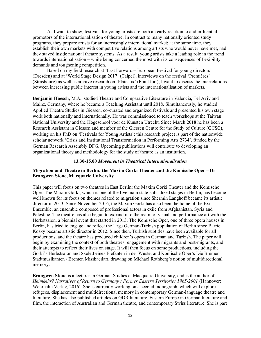As I want to show, festivals for young artists are both an early reaction to and influential promotors of the internationalisation of theatre: In contrast to many nationally oriented study programs, they prepare artists for an increasingly international market; at the same time, they establish their own markets with competitive relations among artists who would never have met, had they stayed inside national theatre systems. As a result, young artists take a leading role in the trend towards internationalisation – while being concerned the most with its consequences of flexibility demands and toughening competition.

Based on my field research at 'Fast Forward – European Festival for young directors' (Dresden) and at 'World Stage Design 2017' (Taipei), interviews on the festival 'Premières' (Strasbourg) as well as archive research on 'Plateaux' (Frankfurt), I want to discuss the interrelations between increasing public interest in young artists and the internationalisation of markets.

Benjamin Hoesch, M.A., studied Theatre and Comparative Literature in Valencia, Tel Aviv and Mainz, Germany, where he became a Teaching Assistant until 2018. Simultaneously, he studied Applied Theatre Studies in Giessen, co-curated and organized festivals and presented his own stage work both nationally and internationally. He was commissioned to teach workshops at the Taiwan National University and the Hogeschool voor de Kunsten Utrecht. Since March 2018 he has been a Research Assistant in Giessen and member of the Giessen Centre for the Study of Culture (GCSC), working on his PhD on 'Festivals for Young Artists'; this research project is part of the nationwide scholar network 'Crisis and Institutional Transformation in Performing Arts 2734', funded by the German Research Assembly DFG. Upcoming publications will contribute to developing an organizational theory and methodology for the study of theatre as an institution.

#### 13.30-15.00 Movement in Theatrical Internationalisation

#### Migration and Theatre in Berlin: the Maxim Gorki Theater and the Komische Oper – Dr Brangwen Stone, Macquarie University

This paper will focus on two theatres in East Berlin: the Maxim Gorki Theater and the Komische Oper. The Maxim Gorki, which is one of the five main state-subsidized stages in Berlin, has become well known for its focus on themes related to migration since Shermin Langhoff became its artistic director in 2013. Since November 2016, the Maxim Gorki has also been the home of the Exil Ensemble, an ensemble composed of professional actors in exile from Afghanistan, Syria and Palestine. The theatre has also begun to expand into the realm of visual and performance art with the Herbstsalon, a biennial event that started in 2013. The Komische Oper, one of three opera houses in Berlin, has tried to engage and reflect the large German-Turkish population of Berlin since Barrie Kosky became artistic director in 2012. Since then, Turkish subtitles have been available for all productions, and the theatre has produced children's opera in German and Turkish. The paper will begin by examining the context of both theatres' engagement with migrants and post-migrants, and their attempts to reflect their lives on stage. It will then focus on some productions, including the Gorki's Herbstsalon and Skelett eines Elefanten in der Wüste, and Komische Oper's Die Bremer Stadtmusikanten / Bremen Mızıkacıları, drawing on Michael Rothberg's notion of multidirectional memory.

Brangwen Stone is a lecturer in German Studies at Macquarie University, and is the author of Heimkehr? Narratives of Return to Germany's Former Eastern Territories 1965-2001 (Hannover: Wehrhahn Verlag, 2016). She is currently working on a second monograph, which will explore refugees, displacement and multidirectional memory in contemporary German-language theatre and literature. She has also published articles on GDR literature, Eastern Europe in German literature and film, the interaction of Australian and German theatre, and contemporary Swiss literature. She is part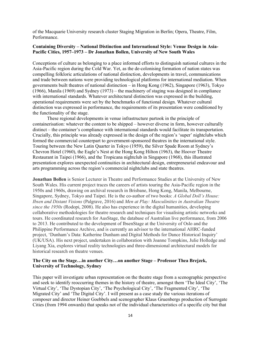of the Macquarie University research cluster Staging Migration in Berlin; Opera, Theatre, Film, Performance.

#### Containing Diversity – National Distinction and International Style: Venue Design in Asia-Pacific Cities, 1957–1973 – Dr Jonathan Bollen, University of New South Wales

Conceptions of culture as belonging to a place informed efforts to distinguish national cultures in the Asia-Pacific region during the Cold War. Yet, as the de-colonising formation of nation states was compelling folkloric articulations of national distinction, developments in travel, communications and trade between nations were providing technological platforms for international mediation. When governments built theatres of national distinction – in Hong Kong (1962), Singapore (1963), Tokyo (1966), Manila (1969) and Sydney (1973) – the machinery of staging was designed in compliance with international standards. Whatever architectural distinction was expressed in the building, operational requirements were set by the benchmarks of functional design. Whatever cultural distinction was expressed in performance, the requirements of its presentation were conditioned by the functionality of the stage.

These regional developments in venue infrastructure partook in the principle of containerisation: whatever the content to be shipped – however diverse in form, however culturally distinct – the container's compliance with international standards would facilitate its transportation. Crucially, this principle was already expressed in the design of the region's 'super' nightclubs which formed the commercial counterpart to government-sponsored theatres in the international style. Touring between the New Latin Quarter in Tokyo (1959), the Silver Spade Room at Sydney's Chevron Hotel (1960), the Eagle's Nest at the Hong Kong Hilton (1963), the Hoover Theatre Restaurant in Taipei (1966), and the Tropicana nightclub in Singapore (1968), this illustrated presentation explores unexpected continuities in architectural design, entrepreneurial endeavour and arts programming across the region's commercial nightclubs and state theatres.

Jonathan Bollen is Senior Lecturer in Theatre and Performance Studies at the University of New South Wales. His current project traces the careers of artists touring the Asia-Pacific region in the 1950s and 1960s, drawing on archival research in Brisbane, Hong Kong, Manila, Melbourne, Singapore, Sydney, Tokyo and Taipei. He is the co-author of two books: A Global Doll's House: Ibsen and Distant Visions (Palgrave, 2016) and Men at Play: Masculinities in Australian Theatre since the 1950s (Rodopi, 2008). He also has experience in the digital humanities, developing collaborative methodologies for theatre research and techniques for visualising artistic networks and tours. He coordinated research for AusStage, the database of Australian live performance, from 2006 to 2013. He contributed to the development of IbsenStage at the University of Oslo and the Philippine Performance Archive, and is currently an advisor to the international AHRC-funded project, 'Dunham's Data: Katherine Dunham and Digital Methods for Dance Historical Inquiry' (UK/USA). His next project, undertaken in collaboration with Joanne Tompkins, Julie Holledge and Liyang Xia, explores virtual reality technologies and three-dimensional architectural models for historical research on theatre venues.

#### The City on the Stage…in another City…on another Stage – Professor Thea Brejzek, University of Technology, Sydney

This paper will investigate urban representation on the theatre stage from a scenographic perspective and seek to identify reoccurring themes in the history of theatre, amongst them 'The Ideal City', 'The Virtual City', 'The Dystopian City', 'The Psychological City', 'The Fragmented City', 'The Migrated City' and 'The Digital City'. I will present as a case study the various iterations of composer and director Heiner Goebbels and scenographer Klaus Gruenbergs production of Surrogate Cities (from 1994 onwards) that speaks not of the individual characteristics of a specific city but that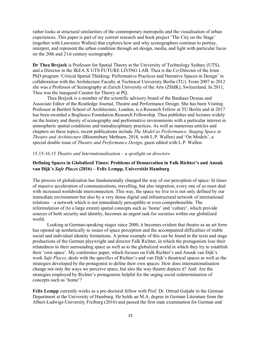rather looks at structural similarities of the contemporary metropolis and the visualisation of urban experiences. This paper is part of my current research and book project 'The City on the Stage' (together with Lawrence Wallen) that explores how and why scenographers continue to portray, interpret, and represent the urban condition through set design, media, and light with particular focus on the 20th and 21st century scenography.

Dr Thea Brejzek is Professor for Spatial Theory at the University of Technology Sydney (UTS), and a Director in the IKEA X UTS FUTURE LIVING LAB. Thea is the Co-Director of the Joint PhD program 'Critical Spatial Thinking: Performative Practices and Narrative Spaces in Design' in collaboration with the Architecture Faculty at Technical University Berlin (TU). From 2007 to 2012 she was a Professor of Scenography at Zurich University of the Arts (ZHdK), Switzerland. In 2011, Thea was the inaugural Curator for Theory at PQ.

Thea Brejzek is a member of the scientific advisory board of the Bauhaus Dessau and Associate Editor of the Routledge Journal, Theatre and Performance Design. She has been Visiting Professor at Bartlett School of Architecture, London, is a Research Fellow at TU Berlin and in 2017 has been awarded a Bogliasco Foundation Research Fellowship. Thea publishes and lectures widely on the history and theory of scenography and performative environments with a particular interest in atmospheric spatial conditions and transdisciplinary practices. As well as numerous articles and chapters on these topics, recent publications include The Model as Performance. Staging Space in Theatre and Architecture (Bloomsbury Methuen, 2018, with L.P. Wallen) and 'On Models', a special double issue of Theatre and Performance Design, guest edited with L.P. Wallen.

#### 15.15-16.15 Theatre and Internationalisation  $-a$  spotlight on directors

#### Defining Spaces in Globalized Times: Problems of Demarcation in Falk Richter's and Anouk van Dijk's Safe Places (2016) – Felix Lempp, Universität Hamburg

The process of globalization has fundamentally changed the way of our perception of space: In times of massive acceleration of communications, travelling, but also migration, every one of us must deal with increased worldwide interconnection. This way, the space we live in is not only defined by our immediate environment but also by a very dense digital and infrastructural network of international relations – a network which is not immediately perceptible or even comprehensible. The reformulation of (to a large extent) spatial concepts such as 'home' and 'culture', which provide sources of both security and identity, becomes an urgent task for societies within our globalized world.

Looking at German-speaking stages since 2000, it becomes evident that theatre as an art form has opened up aesthetically to issues of space perception and the accompanied difficulties of stable social and individual identity formations. A prime example of this can be found in the texts and stage productions of the German playwright and director Falk Richter, in which the protagonists lose their relatedness to their surrounding space as well as to the globalized world in which they try to establish their 'own space'. My conference paper, which focuses on Falk Richter's and Anouk van Dijk's work Safe Places, deals with the specifics of Richter's and van Dijk's theatrical spaces as well as the strategies developed by the protagonist to define their own spaces: How does internationalisation change not only the ways we perceive space, but also the way theatre depicts it? And: Are the strategies employed by Richter's protagonists helpful for the urging social redetermination of concepts such as 'home'?

Felix Lempp currently works as a pre-doctoral fellow with Prof. Dr. Ortrud Gutjahr in the German Department at the University of Hamburg. He holds an M.A. degree in German Literature from the Albert-Ludwigs-University Freiburg (2016) and passed the first state examination for German and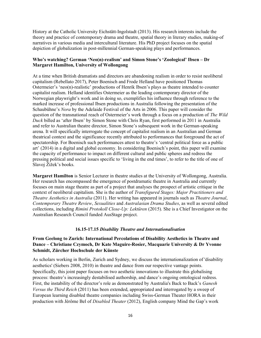History at the Catholic University Eichstätt-Ingolstadt (2013). His research interests include the theory and practice of contemporary drama and theatre, spatial theory in literary studies, making-of narratives in various media and intercultural literature. His PhD project focuses on the spatial depiction of globalization in post-millennial German-speaking plays and performances.

#### Who's watching? German 'Neo(n)-realism' and Simon Stone's 'Zoological' Ibsen – Dr Margaret Hamilton, University of Wollongong

At a time when British dramatists and directors are abandoning realism in order to resist neoliberal capitalism (Rebellato 2017), Peter Boenisch and Frode Helland have positioned Thomas Ostermeier's 'neo(n)-realistic' productions of Henrik Ibsen's plays as theatre intended to counter capitalist realism. Helland identifies Ostermeier as the leading contemporary director of the Norwegian playwright's work and in doing so, exemplifies his influence through reference to the marked increase of professional Ibsen productions in Australia following the presentation of the Schaubühne's Nora by the Adelaide Festival of the Arts in 2006. This paper will consider the question of the transnational reach of Ostermeier's work through a focus on a production of The Wild Duck billed as 'after Ibsen' by Simon Stone with Chris Ryan, first performed in 2011 in Australia and refer to Australian theatre director, Simon Stone's subsequent work in the German-speaking arena. It will specifically interrogate the concept of capitalist realism in an Australian and German theatrical context and the significance recently attributed to performances that foreground the act of spectatorship. For Boenisch such performances attest to theatre's 'central political force as a public art' (2014) in a digital and global economy. In considering Boenisch's point, this paper will examine the capacity of performance to impact on different cultural and public spheres and redress the pressing political and social issues specific to 'living in the end times', to refer to the title of one of Slavoj Žižek's books.

Margaret Hamilton is Senior Lecturer in theatre studies at the University of Wollongong, Australia. Her research has encompassed the emergence of postdramatic theatre in Australia and currently focuses on main stage theatre as part of a project that analyses the prospect of artistic critique in the context of neoliberal capitalism. She is the author of Transfigured Stages: Major Practitioners and Theatre Aesthetics in Australia (2011). Her writing has appeared in journals such as Theatre Journal, Contemporary Theatre Review, Sexualities and Australasian Drama Studies, as well as several edited collections, including Rimini Protokoll Close-Up: Lektüren (2015). She is a Chief Investigator on the Australian Research Council funded AusStage project.

#### 16.15-17.15 Disability Theatre and Internationalisation

#### From Geelong to Zurich: International Percolations of Disability Aesthetics in Theatre and Dance – Christiane Czymoch, Dr Kate Maguire-Rosier, Macquarie University & Dr Yvonne Schmidt, Zürcher Hochschule der Künste

As scholars working in Berlin, Zurich and Sydney, we discuss the internationalization of 'disability aesthetics' (Siebers 2008, 2010) in theatre and dance from our respective vantage points. Specifically, this joint paper focuses on two aesthetic innovations to illustrate this globalising process: theatre's increasingly destabilised authorship, and dance's ongoing ontological redress. First, the instability of the director's role as demonstrated by Australia's Back to Back's Ganesh Versus the Third Reich (2011) has been extended, appropriated and interrogated by a sweep of European learning disabled theatre companies including Swiss-German Theater HORA in their production with Jérôme Bel of Disabled Theater (2012), English company Mind the Gap's work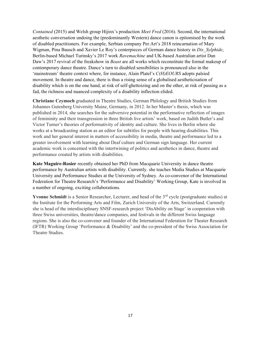Contained (2015) and Welsh group Hijinx's production Meet Fred (2016). Second, the international aesthetic conversation undoing the (predominantly Western) dance canon is epitomised by the work of disabled practitioners. For example, Serbian company Per.Art's 2018 reincarnation of Mary Wigman, Pina Bausch and Xavier Le Roy's centerpieces of German dance history in Dis Sylphide, Berlin-based Michael Turinsky's 2017 work Ravemachine and UK-based Australian artist Dan Daw's 2017 revival of the freakshow in *Beast* are all works which reconstitute the formal makeup of contemporary dance theatre. Dance's turn to disabled sensibilities is pronounced also in the 'mainstream' theatre context where, for instance, Alain Platel's C(H)EOURS adopts palsied movement. In theatre and dance, there is thus a rising sense of a globalised aestheticisation of disability which is on the one hand, at risk of self-ghettoizing and on the other, at risk of passing as a fad, the richness and nuanced complexity of a disability inflection elided.

Christiane Czymoch graduated in Theatre Studies, German Philology and British Studies from Johannes Gutenberg University Mainz, Germany, in 2012. In her Master's thesis, which was published in 2014, she searches for the subversive potential in the performative reflection of images of femininity and their transgression in three British live artists' work, based on Judith Butler's and Victor Turner's theories of performativity of identity and culture. She lives in Berlin where she works at a broadcasting station as an editor for subtitles for people with hearing disabilities. This work and her general interest in matters of accessibility in media, theatre and performance led to a greater involvement with learning about Deaf culture and German sign language. Her current academic work is concerned with the intertwining of politics and aesthetics in dance, theatre and performance created by artists with disabilities.

Kate Maguire-Rosier recently obtained her PhD from Macquarie University in dance theatre performance by Australian artists with disability. Currently. she teaches Media Studies at Macquarie University and Performance Studies at the University of Sydney. As co-convenor of the International Federation for Theatre Research's 'Performance and Disability' Working Group, Kate is involved in a number of ongoing, exciting collaborations.

Yvonne Schmidt is a Senior Researcher, Lecturer, and head of the 3<sup>rd</sup> cycle (postgraduate studies) at the Institute for the Performing Arts and Film, Zurich University of the Arts, Switzerland. Currently she is head of the interdisciplinary SNSF-research project 'DisAbility on Stage' in cooperation with three Swiss universities, theatre/dance companies, and festivals in the different Swiss language regions. She is also the co-convener and founder of the International Federation for Theater Research (IFTR) Working Group 'Performance & Disability' and the co-president of the Swiss Association for Theatre Studies.